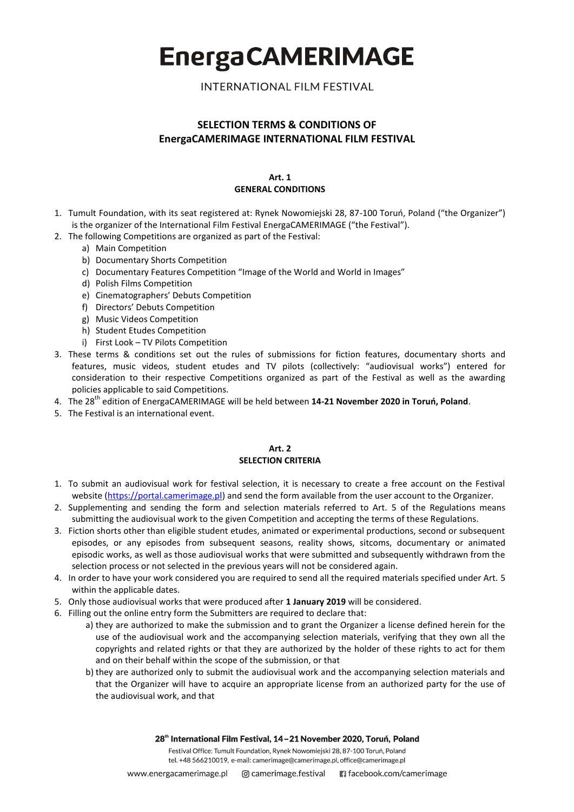**INTERNATIONAL FILM FESTIVAL** 

## **SELECTION TERMS & CONDITIONS OF EnergaCAMERIMAGE INTERNATIONAL FILM FESTIVAL**

#### **Art. 1 GENERAL CONDITIONS**

- 1. Tumult Foundation, with its seat registered at: Rynek Nowomiejski 28, 87-100 Toruń, Poland ("the Organizer") is the organizer of the International Film Festival EnergaCAMERIMAGE ("the Festival").
- 2. The following Competitions are organized as part of the Festival:
	- a) Main Competition
		- b) Documentary Shorts Competition
		- c) Documentary Features Competition "Image of the World and World in Images"
		- d) Polish Films Competition
		- e) Cinematographers' Debuts Competition
		- f) Directors' Debuts Competition
		- g) Music Videos Competition
		- h) Student Etudes Competition
		- i) First Look TV Pilots Competition
- 3. These terms & conditions set out the rules of submissions for fiction features, documentary shorts and features, music videos, student etudes and TV pilots (collectively: "audiovisual works") entered for consideration to their respective Competitions organized as part of the Festival as well as the awarding policies applicable to said Competitions.
- 4. The 28th edition of EnergaCAMERIMAGE will be held between **14-21 November 2020 in Toruń, Poland**.
- 5. The Festival is an international event.

#### **Art. 2 SELECTION CRITERIA**

- 1. To submit an audiovisual work for festival selection, it is necessary to create a free account on the Festival website [\(https://portal.camerimage.pl\)](https://portal.camerimage.pl/) and send the form available from the user account to the Organizer.
- 2. Supplementing and sending the form and selection materials referred to Art. 5 of the Regulations means submitting the audiovisual work to the given Competition and accepting the terms of these Regulations.
- 3. Fiction shorts other than eligible student etudes, animated or experimental productions, second or subsequent episodes, or any episodes from subsequent seasons, reality shows, sitcoms, documentary or animated episodic works, as well as those audiovisual works that were submitted and subsequently withdrawn from the selection process or not selected in the previous years will not be considered again.
- 4. In order to have your work considered you are required to send all the required materials specified under Art. 5 within the applicable dates.
- 5. Only those audiovisual works that were produced after **1 January 2019** will be considered.
- 6. Filling out the online entry form the Submitters are required to declare that:
	- a) they are authorized to make the submission and to grant the Organizer a license defined herein for the use of the audiovisual work and the accompanying selection materials, verifying that they own all the copyrights and related rights or that they are authorized by the holder of these rights to act for them and on their behalf within the scope of the submission, or that
	- b) they are authorized only to submit the audiovisual work and the accompanying selection materials and that the Organizer will have to acquire an appropriate license from an authorized party for the use of the audiovisual work, and that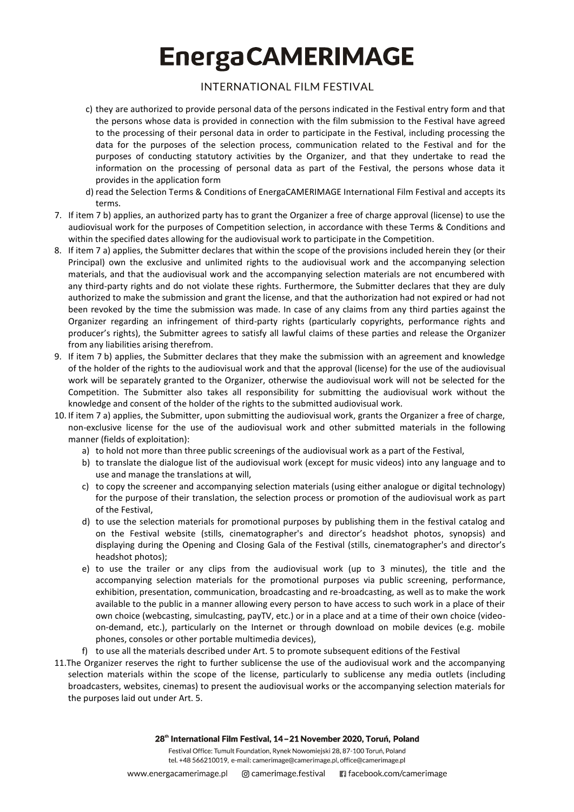# **INTERNATIONAL FILM FESTIVAL**

- c) they are authorized to provide personal data of the persons indicated in the Festival entry form and that the persons whose data is provided in connection with the film submission to the Festival have agreed to the processing of their personal data in order to participate in the Festival, including processing the data for the purposes of the selection process, communication related to the Festival and for the purposes of conducting statutory activities by the Organizer, and that they undertake to read the information on the processing of personal data as part of the Festival, the persons whose data it provides in the application form
- d) read the Selection Terms & Conditions of EnergaCAMERIMAGE International Film Festival and accepts its terms.
- 7. If item 7 b) applies, an authorized party has to grant the Organizer a free of charge approval (license) to use the audiovisual work for the purposes of Competition selection, in accordance with these Terms & Conditions and within the specified dates allowing for the audiovisual work to participate in the Competition.
- 8. If item 7 a) applies, the Submitter declares that within the scope of the provisions included herein they (or their Principal) own the exclusive and unlimited rights to the audiovisual work and the accompanying selection materials, and that the audiovisual work and the accompanying selection materials are not encumbered with any third-party rights and do not violate these rights. Furthermore, the Submitter declares that they are duly authorized to make the submission and grant the license, and that the authorization had not expired or had not been revoked by the time the submission was made. In case of any claims from any third parties against the Organizer regarding an infringement of third-party rights (particularly copyrights, performance rights and producer's rights), the Submitter agrees to satisfy all lawful claims of these parties and release the Organizer from any liabilities arising therefrom.
- 9. If item 7 b) applies, the Submitter declares that they make the submission with an agreement and knowledge of the holder of the rights to the audiovisual work and that the approval (license) for the use of the audiovisual work will be separately granted to the Organizer, otherwise the audiovisual work will not be selected for the Competition. The Submitter also takes all responsibility for submitting the audiovisual work without the knowledge and consent of the holder of the rights to the submitted audiovisual work.
- 10. If item 7 a) applies, the Submitter, upon submitting the audiovisual work, grants the Organizer a free of charge, non-exclusive license for the use of the audiovisual work and other submitted materials in the following manner (fields of exploitation):
	- a) to hold not more than three public screenings of the audiovisual work as a part of the Festival,
	- b) to translate the dialogue list of the audiovisual work (except for music videos) into any language and to use and manage the translations at will,
	- c) to copy the screener and accompanying selection materials (using either analogue or digital technology) for the purpose of their translation, the selection process or promotion of the audiovisual work as part of the Festival,
	- d) to use the selection materials for promotional purposes by publishing them in the festival catalog and on the Festival website (stills, cinematographer's and director's headshot photos, synopsis) and displaying during the Opening and Closing Gala of the Festival (stills, cinematographer's and director's headshot photos);
	- e) to use the trailer or any clips from the audiovisual work (up to 3 minutes), the title and the accompanying selection materials for the promotional purposes via public screening, performance, exhibition, presentation, communication, broadcasting and re-broadcasting, as well as to make the work available to the public in a manner allowing every person to have access to such work in a place of their own choice (webcasting, simulcasting, payTV, etc.) or in a place and at a time of their own choice (videoon-demand, etc.), particularly on the Internet or through download on mobile devices (e.g. mobile phones, consoles or other portable multimedia devices),
	- f) to use all the materials described under Art. 5 to promote subsequent editions of the Festival
- 11.The Organizer reserves the right to further sublicense the use of the audiovisual work and the accompanying selection materials within the scope of the license, particularly to sublicense any media outlets (including broadcasters, websites, cinemas) to present the audiovisual works or the accompanying selection materials for the purposes laid out under Art. 5.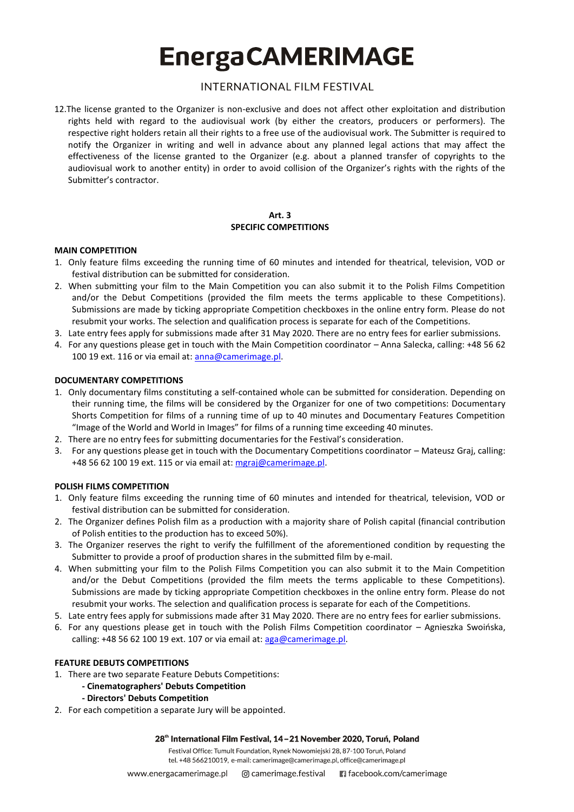# **INTERNATIONAL FILM FESTIVAL**

12.The license granted to the Organizer is non-exclusive and does not affect other exploitation and distribution rights held with regard to the audiovisual work (by either the creators, producers or performers). The respective right holders retain all their rights to a free use of the audiovisual work. The Submitter is required to notify the Organizer in writing and well in advance about any planned legal actions that may affect the effectiveness of the license granted to the Organizer (e.g. about a planned transfer of copyrights to the audiovisual work to another entity) in order to avoid collision of the Organizer's rights with the rights of the Submitter's contractor.

### **Art. 3 SPECIFIC COMPETITIONS**

### **MAIN COMPETITION**

- 1. Only feature films exceeding the running time of 60 minutes and intended for theatrical, television, VOD or festival distribution can be submitted for consideration.
- 2. When submitting your film to the Main Competition you can also submit it to the Polish Films Competition and/or the Debut Competitions (provided the film meets the terms applicable to these Competitions). Submissions are made by ticking appropriate Competition checkboxes in the online entry form. Please do not resubmit your works. The selection and qualification process is separate for each of the Competitions.
- 3. Late entry fees apply for submissions made after 31 May 2020. There are no entry fees for earlier submissions.
- 4. For any questions please get in touch with the Main Competition coordinator Anna Salecka, calling: +48 56 62 100 19 ext. 116 or via email at: [anna@camerimage.pl.](mailto:anna@camerimage.pl)

### **DOCUMENTARY COMPETITIONS**

- 1. Only documentary films constituting a self-contained whole can be submitted for consideration. Depending on their running time, the films will be considered by the Organizer for one of two competitions: Documentary Shorts Competition for films of a running time of up to 40 minutes and Documentary Features Competition "Image of the World and World in Images" for films of a running time exceeding 40 minutes.
- 2. There are no entry fees for submitting documentaries for the Festival's consideration.
- 3. For any questions please get in touch with the Documentary Competitions coordinator Mateusz Graj, calling: +48 56 62 100 19 ext. 115 or via email at: [mgraj@camerimage.pl.](mailto:mgraj@camerimage.pl)

## **POLISH FILMS COMPETITION**

- 1. Only feature films exceeding the running time of 60 minutes and intended for theatrical, television, VOD or festival distribution can be submitted for consideration.
- 2. The Organizer defines Polish film as a production with a majority share of Polish capital (financial contribution of Polish entities to the production has to exceed 50%).
- 3. The Organizer reserves the right to verify the fulfillment of the aforementioned condition by requesting the Submitter to provide a proof of production shares in the submitted film by e-mail.
- 4. When submitting your film to the Polish Films Competition you can also submit it to the Main Competition and/or the Debut Competitions (provided the film meets the terms applicable to these Competitions). Submissions are made by ticking appropriate Competition checkboxes in the online entry form. Please do not resubmit your works. The selection and qualification process is separate for each of the Competitions.
- 5. Late entry fees apply for submissions made after 31 May 2020. There are no entry fees for earlier submissions.
- 6. For any questions please get in touch with the Polish Films Competition coordinator Agnieszka Swoińska, calling:  $+48$  56 62 100 19 ext. 107 or via email at:  $a$ ga@camerimage.pl.

#### **FEATURE DEBUTS COMPETITIONS**

- 1. There are two separate Feature Debuts Competitions:
	- **- Cinematographers' Debuts Competition**
	- **- Directors' Debuts Competition**
- 2. For each competition a separate Jury will be appointed.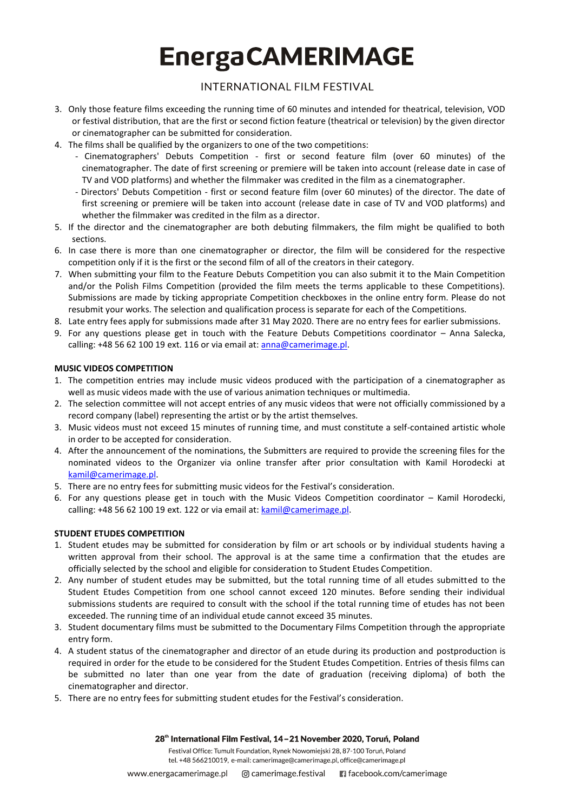# **INTERNATIONAL FILM FESTIVAL**

- 3. Only those feature films exceeding the running time of 60 minutes and intended for theatrical, television, VOD or festival distribution, that are the first or second fiction feature (theatrical or television) by the given director or cinematographer can be submitted for consideration.
- 4. The films shall be qualified by the organizers to one of the two competitions:
	- Cinematographers' Debuts Competition first or second feature film (over 60 minutes) of the cinematographer. The date of first screening or premiere will be taken into account (release date in case of TV and VOD platforms) and whether the filmmaker was credited in the film as a cinematographer.
	- Directors' Debuts Competition first or second feature film (over 60 minutes) of the director. The date of first screening or premiere will be taken into account (release date in case of TV and VOD platforms) and whether the filmmaker was credited in the film as a director.
- 5. If the director and the cinematographer are both debuting filmmakers, the film might be qualified to both sections.
- 6. In case there is more than one cinematographer or director, the film will be considered for the respective competition only if it is the first or the second film of all of the creators in their category.
- 7. When submitting your film to the Feature Debuts Competition you can also submit it to the Main Competition and/or the Polish Films Competition (provided the film meets the terms applicable to these Competitions). Submissions are made by ticking appropriate Competition checkboxes in the online entry form. Please do not resubmit your works. The selection and qualification process is separate for each of the Competitions.
- 8. Late entry fees apply for submissions made after 31 May 2020. There are no entry fees for earlier submissions.
- 9. For any questions please get in touch with the Feature Debuts Competitions coordinator Anna Salecka, calling: +48 56 62 100 19 ext. 116 or via email at: [anna@camerimage.pl.](mailto:anna@camerimage.pl)

## **MUSIC VIDEOS COMPETITION**

- 1. The competition entries may include music videos produced with the participation of a cinematographer as well as music videos made with the use of various animation techniques or multimedia.
- 2. The selection committee will not accept entries of any music videos that were not officially commissioned by a record company (label) representing the artist or by the artist themselves.
- 3. Music videos must not exceed 15 minutes of running time, and must constitute a self-contained artistic whole in order to be accepted for consideration.
- 4. After the announcement of the nominations, the Submitters are required to provide the screening files for the nominated videos to the Organizer via online transfer after prior consultation with Kamil Horodecki at [kamil@camerimage.pl.](mailto:kamil@camerimage.pl)
- 5. There are no entry fees for submitting music videos for the Festival's consideration.
- 6. For any questions please get in touch with the Music Videos Competition coordinator Kamil Horodecki, calling: +48 56 62 100 19 ext. 122 or via email at: kamil@camerimage.pl.

## **STUDENT ETUDES COMPETITION**

- 1. Student etudes may be submitted for consideration by film or art schools or by individual students having a written approval from their school. The approval is at the same time a confirmation that the etudes are officially selected by the school and eligible for consideration to Student Etudes Competition.
- 2. Any number of student etudes may be submitted, but the total running time of all etudes submitted to the Student Etudes Competition from one school cannot exceed 120 minutes. Before sending their individual submissions students are required to consult with the school if the total running time of etudes has not been exceeded. The running time of an individual etude cannot exceed 35 minutes.
- 3. Student documentary films must be submitted to the Documentary Films Competition through the appropriate entry form.
- 4. A student status of the cinematographer and director of an etude during its production and postproduction is required in order for the etude to be considered for the Student Etudes Competition. Entries of thesis films can be submitted no later than one year from the date of graduation (receiving diploma) of both the cinematographer and director.
- 5. There are no entry fees for submitting student etudes for the Festival's consideration.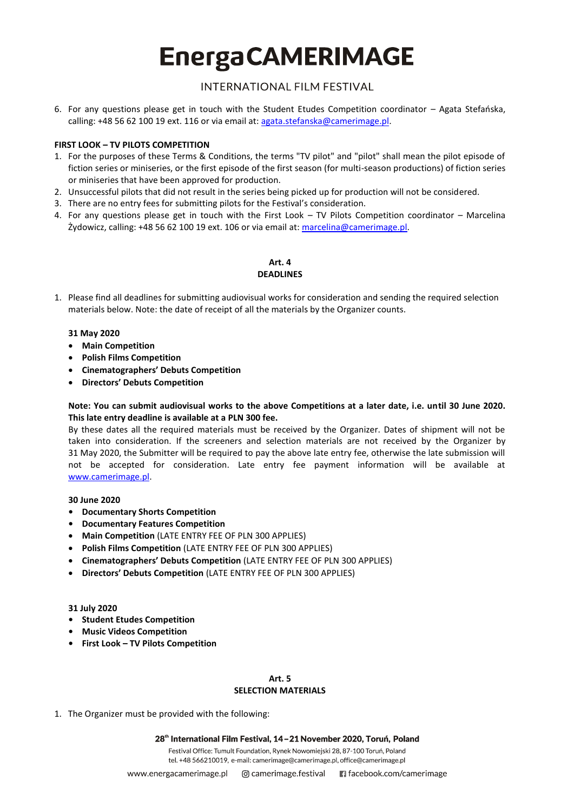# **INTERNATIONAL FILM FESTIVAL**

6. For any questions please get in touch with the Student Etudes Competition coordinator – Agata Stefańska, calling: +48 56 62 100 19 ext. 116 or via email at: [agata.stefanska@camerimage.pl.](mailto:agata.stefanska@camerimage.pl)

### **FIRST LOOK – TV PILOTS COMPETITION**

- 1. For the purposes of these Terms & Conditions, the terms "TV pilot" and "pilot" shall mean the pilot episode of fiction series or miniseries, or the first episode of the first season (for multi-season productions) of fiction series or miniseries that have been approved for production.
- 2. Unsuccessful pilots that did not result in the series being picked up for production will not be considered.
- 3. There are no entry fees for submitting pilots for the Festival's consideration.
- 4. For any questions please get in touch with the First Look TV Pilots Competition coordinator Marcelina Żydowicz, calling: +48 56 62 100 19 ext. 106 or via email at: [marcelina@camerimage.pl.](mailto:marcelina@camerimage.pl)

## **Art. 4 DEADLINES**

1. Please find all deadlines for submitting audiovisual works for consideration and sending the required selection materials below. Note: the date of receipt of all the materials by the Organizer counts.

#### **31 May 2020**

- **Main Competition**
- **Polish Films Competition**
- **Cinematographers' Debuts Competition**
- **Directors' Debuts Competition**

### **Note: You can submit audiovisual works to the above Competitions at a later date, i.e. until 30 June 2020. This late entry deadline is available at a PLN 300 fee.**

By these dates all the required materials must be received by the Organizer. Dates of shipment will not be taken into consideration. If the screeners and selection materials are not received by the Organizer by 31 May 2020, the Submitter will be required to pay the above late entry fee, otherwise the late submission will not be accepted for consideration. Late entry fee payment information will be available at [www.camerimage.pl.](http://www.camerimage.pl/)

#### **30 June 2020**

- **• Documentary Shorts Competition**
- **• Documentary Features Competition**
- **Main Competition** (LATE ENTRY FEE OF PLN 300 APPLIES)
- **Polish Films Competition** (LATE ENTRY FEE OF PLN 300 APPLIES)
- **Cinematographers' Debuts Competition** (LATE ENTRY FEE OF PLN 300 APPLIES)
- **Directors' Debuts Competition** (LATE ENTRY FEE OF PLN 300 APPLIES)

#### **31 July 2020**

- **• Student Etudes Competition**
- **• Music Videos Competition**
- **• First Look – TV Pilots Competition**

#### **Art. 5 SELECTION MATERIALS**

1. The Organizer must be provided with the following:

28<sup>th</sup> International Film Festival, 14-21 November 2020, Toruń, Poland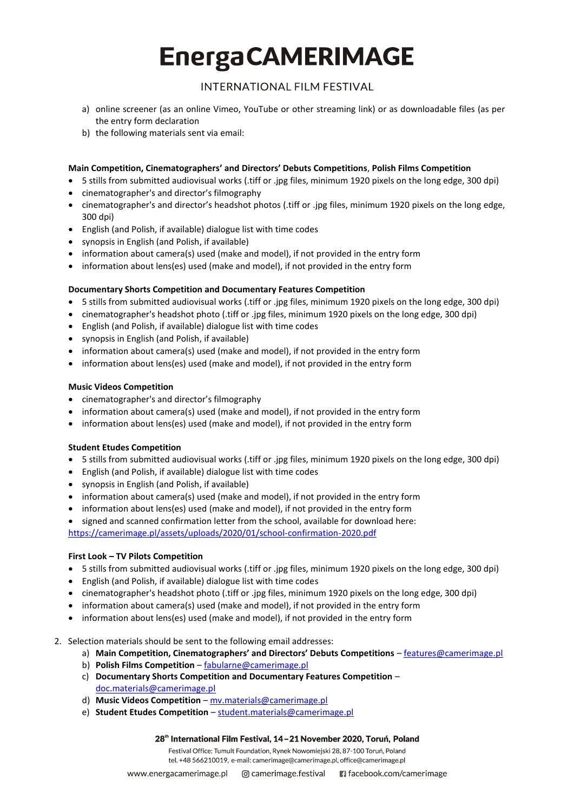# **INTERNATIONAL FILM FESTIVAL**

- a) online screener (as an online Vimeo, YouTube or other streaming link) or as downloadable files (as per the entry form declaration
- b) the following materials sent via email:

## **Main Competition, Cinematographers' and Directors' Debuts Competitions**, **Polish Films Competition**

- 5 stills from submitted audiovisual works (.tiff or .jpg files, minimum 1920 pixels on the long edge, 300 dpi)
- cinematographer's and director's filmography
- cinematographer's and director's headshot photos (.tiff or .jpg files, minimum 1920 pixels on the long edge, 300 dpi)
- English (and Polish, if available) dialogue list with time codes
- synopsis in English (and Polish, if available)
- information about camera(s) used (make and model), if not provided in the entry form
- information about lens(es) used (make and model), if not provided in the entry form

## **Documentary Shorts Competition and Documentary Features Competition**

- 5 stills from submitted audiovisual works (.tiff or .jpg files, minimum 1920 pixels on the long edge, 300 dpi)
- cinematographer's headshot photo (.tiff or .jpg files, minimum 1920 pixels on the long edge, 300 dpi)
- English (and Polish, if available) dialogue list with time codes
- synopsis in English (and Polish, if available)
- information about camera(s) used (make and model), if not provided in the entry form
- information about lens(es) used (make and model), if not provided in the entry form

## **Music Videos Competition**

- cinematographer's and director's filmography
- information about camera(s) used (make and model), if not provided in the entry form
- information about lens(es) used (make and model), if not provided in the entry form

## **Student Etudes Competition**

- 5 stills from submitted audiovisual works (.tiff or .jpg files, minimum 1920 pixels on the long edge, 300 dpi)
- English (and Polish, if available) dialogue list with time codes
- synopsis in English (and Polish, if available)
- information about camera(s) used (make and model), if not provided in the entry form
- information about lens(es) used (make and model), if not provided in the entry form
- signed and scanned confirmation letter from the school, available for download here: <https://camerimage.pl/assets/uploads/2020/01/school-confirmation-2020.pdf>

## **First Look – TV Pilots Competition**

- 5 stills from submitted audiovisual works (.tiff or .jpg files, minimum 1920 pixels on the long edge, 300 dpi)
- English (and Polish, if available) dialogue list with time codes
- cinematographer's headshot photo (.tiff or .jpg files, minimum 1920 pixels on the long edge, 300 dpi)
- information about camera(s) used (make and model), if not provided in the entry form
- information about lens(es) used (make and model), if not provided in the entry form
- 2. Selection materials should be sent to the following email addresses:
	- a) **Main Competition, Cinematographers' and Directors' Debuts Competitions** [features@camerimage.pl](mailto:features@camerimage.pl)
	- b) **Polish Films Competition**  [fabularne@camerimage.pl](mailto:fabularne@camerimage.pl)
	- c) **Documentary Shorts Competition and Documentary Features Competition** [doc.materials@camerimage.pl](mailto:doc.materials@camerimage.pl)
	- d) **Music Videos Competition** [mv.materials@camerimage.pl](mailto:mv.materials@camerimage.pl)
	- e) **Student Etudes Competition** [student.materials@camerimage.pl](mailto:student.materials@camerimage.pl)

#### 28<sup>th</sup> International Film Festival, 14-21 November 2020, Toruń, Poland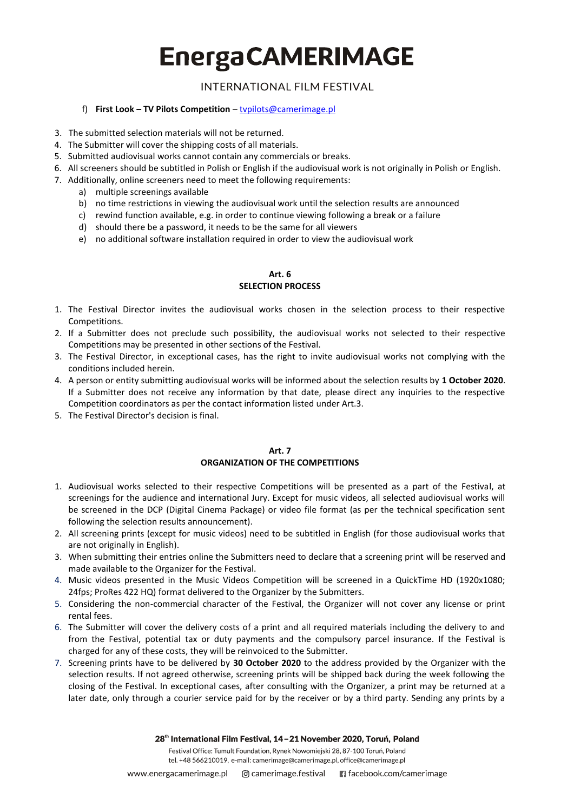# **INTERNATIONAL FILM FESTIVAL**

### f) **First Look – TV Pilots Competition** – [tvpilots@camerimage.pl](mailto:tvpilots@camerimage.pl)

- 3. The submitted selection materials will not be returned.
- 4. The Submitter will cover the shipping costs of all materials.
- 5. Submitted audiovisual works cannot contain any commercials or breaks.
- 6. All screeners should be subtitled in Polish or English if the audiovisual work is not originally in Polish or English.
- 7. Additionally, online screeners need to meet the following requirements:
	- a) multiple screenings available
	- b) no time restrictions in viewing the audiovisual work until the selection results are announced
	- c) rewind function available, e.g. in order to continue viewing following a break or a failure
	- d) should there be a password, it needs to be the same for all viewers
	- e) no additional software installation required in order to view the audiovisual work

#### **Art. 6 SELECTION PROCESS**

- 1. The Festival Director invites the audiovisual works chosen in the selection process to their respective Competitions.
- 2. If a Submitter does not preclude such possibility, the audiovisual works not selected to their respective Competitions may be presented in other sections of the Festival.
- 3. The Festival Director, in exceptional cases, has the right to invite audiovisual works not complying with the conditions included herein.
- 4. A person or entity submitting audiovisual works will be informed about the selection results by **1 October 2020**. If a Submitter does not receive any information by that date, please direct any inquiries to the respective Competition coordinators as per the contact information listed under Art.3.
- 5. The Festival Director's decision is final.

#### **Art. 7 ORGANIZATION OF THE COMPETITIONS**

- 1. Audiovisual works selected to their respective Competitions will be presented as a part of the Festival, at screenings for the audience and international Jury. Except for music videos, all selected audiovisual works will be screened in the DCP (Digital Cinema Package) or video file format (as per the technical specification sent following the selection results announcement).
- 2. All screening prints (except for music videos) need to be subtitled in English (for those audiovisual works that are not originally in English).
- 3. When submitting their entries online the Submitters need to declare that a screening print will be reserved and made available to the Organizer for the Festival.
- 4. Music videos presented in the Music Videos Competition will be screened in a QuickTime HD (1920x1080; 24fps; ProRes 422 HQ) format delivered to the Organizer by the Submitters.
- 5. Considering the non-commercial character of the Festival, the Organizer will not cover any license or print rental fees.
- 6. The Submitter will cover the delivery costs of a print and all required materials including the delivery to and from the Festival, potential tax or duty payments and the compulsory parcel insurance. If the Festival is charged for any of these costs, they will be reinvoiced to the Submitter.
- 7. Screening prints have to be delivered by **30 October 2020** to the address provided by the Organizer with the selection results. If not agreed otherwise, screening prints will be shipped back during the week following the closing of the Festival. In exceptional cases, after consulting with the Organizer, a print may be returned at a later date, only through a courier service paid for by the receiver or by a third party. Sending any prints by a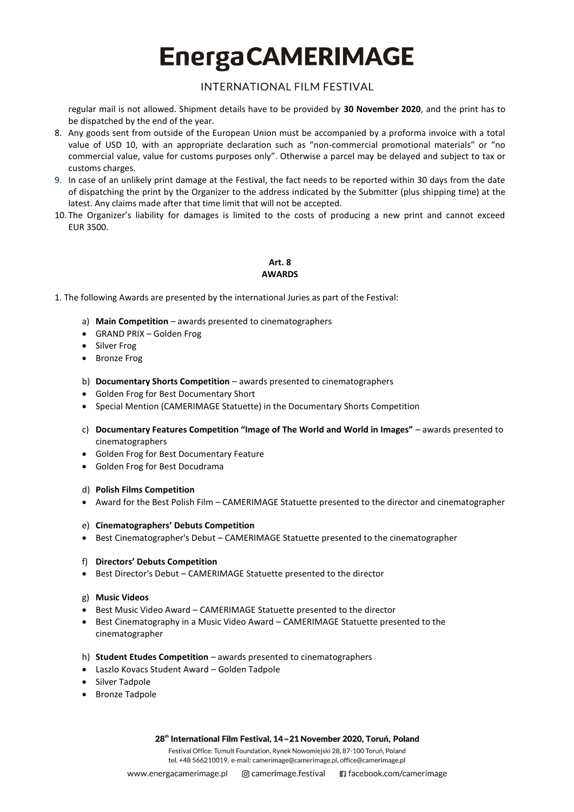## **INTERNATIONAL FILM FESTIVAL**

regular mail is not allowed. Shipment details have to be provided by **30 November 2020**, and the print has to be dispatched by the end of the year.

- 8. Any goods sent from outside of the European Union must be accompanied by a proforma invoice with a total value of USD 10, with an appropriate declaration such as "non-commercial promotional materials" or "no commercial value, value for customs purposes only". Otherwise a parcel may be delayed and subject to tax or customs charges.
- 9. In case of an unlikely print damage at the Festival, the fact needs to be reported within 30 days from the date of dispatching the print by the Organizer to the address indicated by the Submitter (plus shipping time) at the latest. Any claims made after that time limit that will not be accepted.
- 10. The Organizer's liability for damages is limited to the costs of producing a new print and cannot exceed EUR 3500.

## **Art. 8 AWARDS**

- 1. The following Awards are presented by the international Juries as part of the Festival:
	- a) **Main Competition** awards presented to cinematographers
	- GRAND PRIX Golden Frog
	- Silver Frog
	- Bronze Frog
	- b) **Documentary Shorts Competition**  awards presented to cinematographers
	- Golden Frog for Best Documentary Short
	- Special Mention (CAMERIMAGE Statuette) in the Documentary Shorts Competition
	- c) **Documentary Features Competition "Image of The World and World in Images"**  awards presented to cinematographers
	- Golden Frog for Best Documentary Feature
	- Golden Frog for Best Docudrama
	- d) **Polish Films Competition**
	- Award for the Best Polish Film CAMERIMAGE Statuette presented to the director and cinematographer

#### e) **Cinematographers' Debuts Competition**

• Best Cinematographer's Debut – CAMERIMAGE Statuette presented to the cinematographer

#### f) **Directors' Debuts Competition**

Best Director's Debut – CAMERIMAGE Statuette presented to the director

#### g) **Music Videos**

- Best Music Video Award CAMERIMAGE Statuette presented to the director
- **Best Cinematography in a Music Video Award CAMERIMAGE Statuette presented to the** cinematographer
- h) **Student Etudes Competition**  awards presented to cinematographers
- Laszlo Kovacs Student Award Golden Tadpole
- Silver Tadpole
- Bronze Tadpole

#### 28<sup>th</sup> International Film Festival, 14-21 November 2020, Toruń, Poland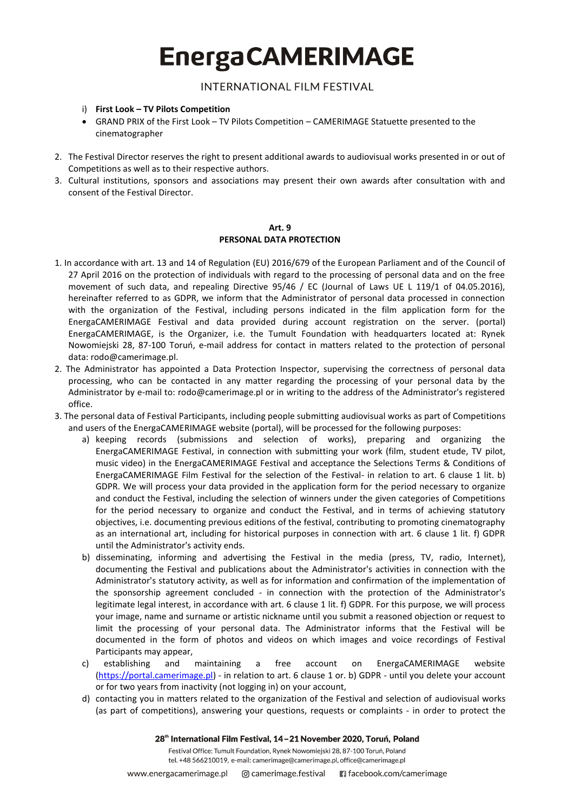**INTERNATIONAL FILM FESTIVAL** 

- i) **First Look – TV Pilots Competition**
- GRAND PRIX of the First Look TV Pilots Competition CAMERIMAGE Statuette presented to the cinematographer
- 2. The Festival Director reserves the right to present additional awards to audiovisual works presented in or out of Competitions as well as to their respective authors.
- 3. Cultural institutions, sponsors and associations may present their own awards after consultation with and consent of the Festival Director.

### **Art. 9 PERSONAL DATA PROTECTION**

- 1. In accordance with art. 13 and 14 of Regulation (EU) 2016/679 of the European Parliament and of the Council of 27 April 2016 on the protection of individuals with regard to the processing of personal data and on the free movement of such data, and repealing Directive 95/46 / EC (Journal of Laws UE L 119/1 of 04.05.2016), hereinafter referred to as GDPR, we inform that the Administrator of personal data processed in connection with the organization of the Festival, including persons indicated in the film application form for the EnergaCAMERIMAGE Festival and data provided during account registration on the server. (portal) EnergaCAMERIMAGE, is the Organizer, i.e. the Tumult Foundation with headquarters located at: Rynek Nowomiejski 28, 87-100 Toruń, e-mail address for contact in matters related to the protection of personal data: rodo@camerimage.pl.
- 2. The Administrator has appointed a Data Protection Inspector, supervising the correctness of personal data processing, who can be contacted in any matter regarding the processing of your personal data by the Administrator by e-mail to: rodo@camerimage.pl or in writing to the address of the Administrator's registered office.
- 3. The personal data of Festival Participants, including people submitting audiovisual works as part of Competitions and users of the EnergaCAMERIMAGE website (portal), will be processed for the following purposes:
	- a) keeping records (submissions and selection of works), preparing and organizing the EnergaCAMERIMAGE Festival, in connection with submitting your work (film, student etude, TV pilot, music video) in the EnergaCAMERIMAGE Festival and acceptance the Selections Terms & Conditions of EnergaCAMERIMAGE Film Festival for the selection of the Festival- in relation to art. 6 clause 1 lit. b) GDPR. We will process your data provided in the application form for the period necessary to organize and conduct the Festival, including the selection of winners under the given categories of Competitions for the period necessary to organize and conduct the Festival, and in terms of achieving statutory objectives, i.e. documenting previous editions of the festival, contributing to promoting cinematography as an international art, including for historical purposes in connection with art. 6 clause 1 lit. f) GDPR until the Administrator's activity ends.
	- b) disseminating, informing and advertising the Festival in the media (press, TV, radio, Internet), documenting the Festival and publications about the Administrator's activities in connection with the Administrator's statutory activity, as well as for information and confirmation of the implementation of the sponsorship agreement concluded - in connection with the protection of the Administrator's legitimate legal interest, in accordance with art. 6 clause 1 lit. f) GDPR. For this purpose, we will process your image, name and surname or artistic nickname until you submit a reasoned objection or request to limit the processing of your personal data. The Administrator informs that the Festival will be documented in the form of photos and videos on which images and voice recordings of Festival Participants may appear,
	- c) establishing and maintaining a free account on EnergaCAMERIMAGE website [\(https://portal.camerimage.pl\)](https://portal.camerimage.pl/) - in relation to art. 6 clause 1 or. b) GDPR - until you delete your account or for two years from inactivity (not logging in) on your account,
	- d) contacting you in matters related to the organization of the Festival and selection of audiovisual works (as part of competitions), answering your questions, requests or complaints - in order to protect the

28<sup>th</sup> International Film Festival, 14-21 November 2020, Toruń, Poland Festival Office: Tumult Foundation, Rynek Nowomiejski 28, 87-100 Toruń, Poland tel. +48 566210019, e-mail: camerimage@camerimage.pl, office@camerimage.pl